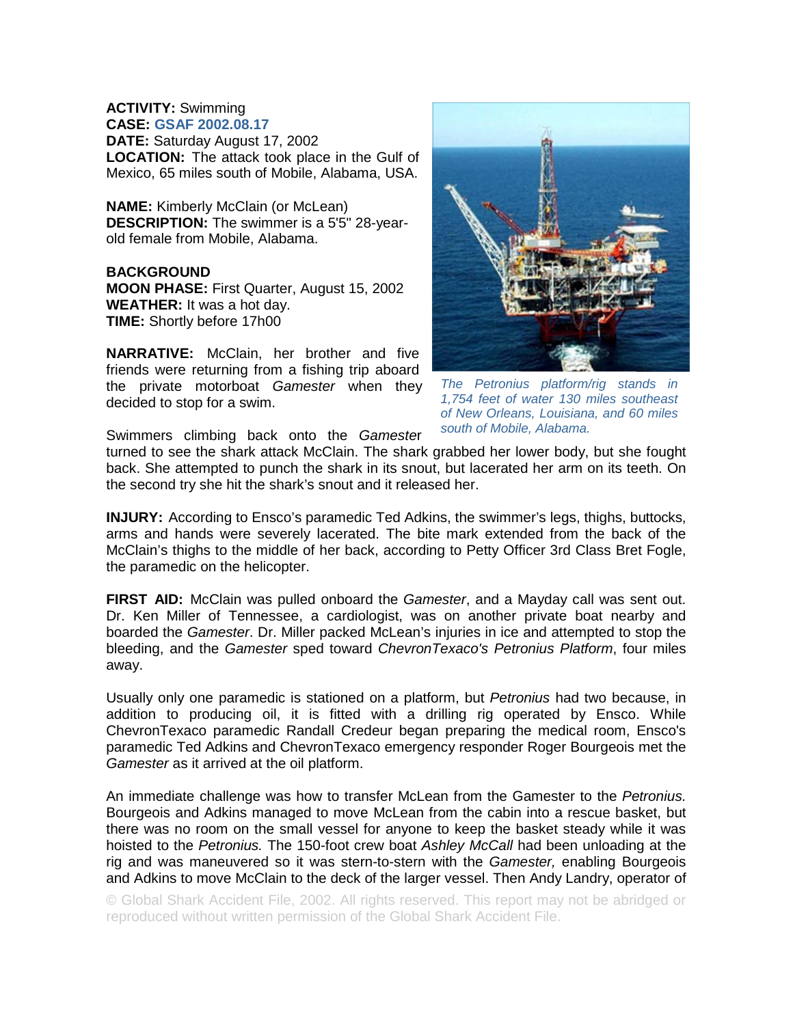**ACTIVITY:** Swimming **CASE: GSAF 2002.08.17 DATE:** Saturday August 17, 2002 **LOCATION:** The attack took place in the Gulf of Mexico, 65 miles south of Mobile, Alabama, USA.

**NAME:** Kimberly McClain (or McLean) **DESCRIPTION:** The swimmer is a 5'5" 28-yearold female from Mobile, Alabama.

**BACKGROUND MOON PHASE:** First Quarter, August 15, 2002 **WEATHER:** It was a hot day. **TIME:** Shortly before 17h00

**NARRATIVE:** McClain, her brother and five friends were returning from a fishing trip aboard the private motorboat *Gamester* when they decided to stop for a swim.



*The Petronius platform/rig stands in 1,754 feet of water 130 miles southeast of New Orleans, Louisiana, and 60 miles south of Mobile, Alabama.* 

Swimmers climbing back onto the *Gameste*r

turned to see the shark attack McClain. The shark grabbed her lower body, but she fought back. She attempted to punch the shark in its snout, but lacerated her arm on its teeth. On the second try she hit the shark's snout and it released her.

**INJURY:** According to Ensco's paramedic Ted Adkins, the swimmer's legs, thighs, buttocks, arms and hands were severely lacerated. The bite mark extended from the back of the McClain's thighs to the middle of her back, according to Petty Officer 3rd Class Bret Fogle, the paramedic on the helicopter.

**FIRST AID:** McClain was pulled onboard the *Gamester*, and a Mayday call was sent out. Dr. Ken Miller of Tennessee, a cardiologist, was on another private boat nearby and boarded the *Gamester*. Dr. Miller packed McLean's injuries in ice and attempted to stop the bleeding, and the *Gamester* sped toward *ChevronTexaco's Petronius Platform*, four miles away.

Usually only one paramedic is stationed on a platform, but *Petronius* had two because, in addition to producing oil, it is fitted with a drilling rig operated by Ensco. While ChevronTexaco paramedic Randall Credeur began preparing the medical room, Ensco's paramedic Ted Adkins and ChevronTexaco emergency responder Roger Bourgeois met the *Gamester* as it arrived at the oil platform.

An immediate challenge was how to transfer McLean from the Gamester to the *Petronius.*  Bourgeois and Adkins managed to move McLean from the cabin into a rescue basket, but there was no room on the small vessel for anyone to keep the basket steady while it was hoisted to the *Petronius.* The 150-foot crew boat *Ashley McCall* had been unloading at the rig and was maneuvered so it was stern-to-stern with the *Gamester,* enabling Bourgeois and Adkins to move McClain to the deck of the larger vessel. Then Andy Landry, operator of

© Global Shark Accident File, 2002. All rights reserved. This report may not be abridged or reproduced without written permission of the Global Shark Accident File.